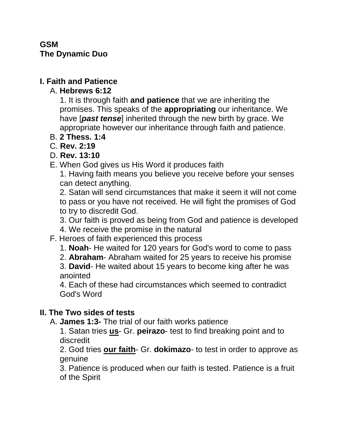## **GSM The Dynamic Duo**

# **I. Faith and Patience**

## A. **Hebrews 6:12**

1. It is through faith **and patience** that we are inheriting the promises. This speaks of the **appropriating** our inheritance. We have [*past tense*] inherited through the new birth by grace. We appropriate however our inheritance through faith and patience.

- B. **2 Thess. 1:4**
- C. **Rev. 2:19**
- D. **Rev. 13:10**
- E. When God gives us His Word it produces faith

1. Having faith means you believe you receive before your senses can detect anything.

2. Satan will send circumstances that make it seem it will not come to pass or you have not received. He will fight the promises of God to try to discredit God.

3. Our faith is proved as being from God and patience is developed

- 4. We receive the promise in the natural
- F. Heroes of faith experienced this process
	- 1. **Noah** He waited for 120 years for God's word to come to pass
	- 2. **Abraham** Abraham waited for 25 years to receive his promise

3. **David**- He waited about 15 years to become king after he was anointed

4. Each of these had circumstances which seemed to contradict God's Word

## **II. The Two sides of tests**

A. **James 1:3-** The trial of our faith works patience

1. Satan tries **us**- Gr. **peirazo**- test to find breaking point and to discredit

2. God tries **our faith**- Gr. **dokimazo**- to test in order to approve as genuine

3. Patience is produced when our faith is tested. Patience is a fruit of the Spirit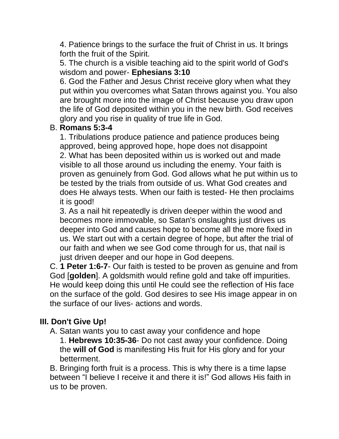4. Patience brings to the surface the fruit of Christ in us. It brings forth the fruit of the Spirit.

5. The church is a visible teaching aid to the spirit world of God's wisdom and power- **Ephesians 3:10**

6. God the Father and Jesus Christ receive glory when what they put within you overcomes what Satan throws against you. You also are brought more into the image of Christ because you draw upon the life of God deposited within you in the new birth. God receives glory and you rise in quality of true life in God.

#### B. **Romans 5:3-4**

1. Tribulations produce patience and patience produces being approved, being approved hope, hope does not disappoint 2. What has been deposited within us is worked out and made visible to all those around us including the enemy. Your faith is proven as genuinely from God. God allows what he put within us to be tested by the trials from outside of us. What God creates and does He always tests. When our faith is tested- He then proclaims it is good!

3. As a nail hit repeatedly is driven deeper within the wood and becomes more immovable, so Satan's onslaughts just drives us deeper into God and causes hope to become all the more fixed in us. We start out with a certain degree of hope, but after the trial of our faith and when we see God come through for us, that nail is just driven deeper and our hope in God deepens.

C. **1 Peter 1:6-7**- Our faith is tested to be proven as genuine and from God [**golden**]. A goldsmith would refine gold and take off impurities. He would keep doing this until He could see the reflection of His face on the surface of the gold. God desires to see His image appear in on the surface of our lives- actions and words.

## **III. Don't Give Up!**

A. Satan wants you to cast away your confidence and hope

1. **Hebrews 10:35-36**- Do not cast away your confidence. Doing the **will of God** is manifesting His fruit for His glory and for your betterment.

B. Bringing forth fruit is a process. This is why there is a time lapse between "I believe I receive it and there it is!" God allows His faith in us to be proven.